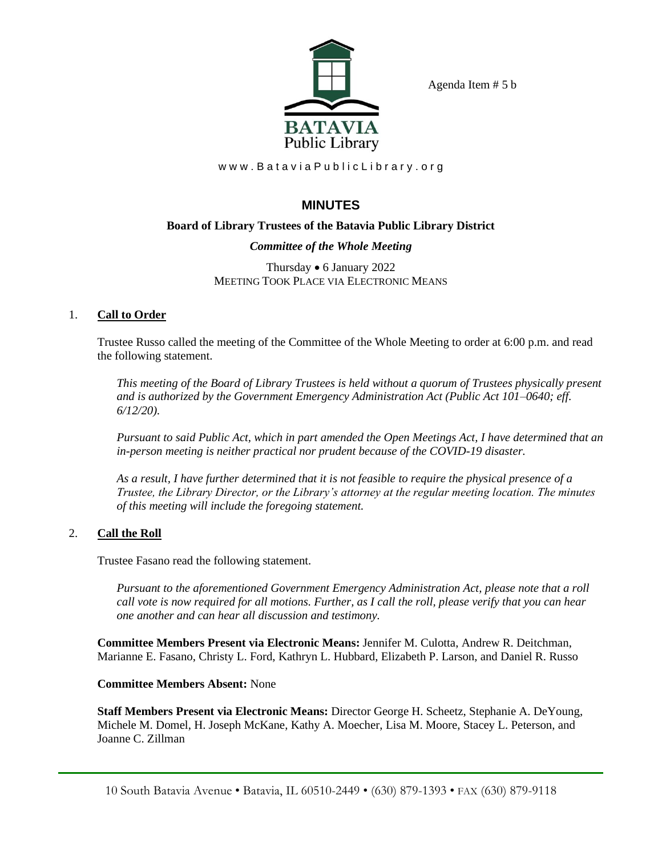

Agenda Item # 5 b

www.BataviaPublicLibrary.org

# **MINUTES**

# **Board of Library Trustees of the Batavia Public Library District**

# *Committee of the Whole Meeting*

Thursday • 6 January 2022 MEETING TOOK PLACE VIA ELECTRONIC MEANS

# 1. **Call to Order**

Trustee Russo called the meeting of the Committee of the Whole Meeting to order at 6:00 p.m. and read the following statement.

*This meeting of the Board of Library Trustees is held without a quorum of Trustees physically present and is authorized by the Government Emergency Administration Act (Public Act 101–0640; eff. 6/12/20).*

*Pursuant to said Public Act, which in part amended the Open Meetings Act, I have determined that an in-person meeting is neither practical nor prudent because of the COVID-19 disaster.*

*As a result, I have further determined that it is not feasible to require the physical presence of a Trustee, the Library Director, or the Library's attorney at the regular meeting location. The minutes of this meeting will include the foregoing statement.*

# 2. **Call the Roll**

Trustee Fasano read the following statement.

*Pursuant to the aforementioned Government Emergency Administration Act, please note that a roll call vote is now required for all motions. Further, as I call the roll, please verify that you can hear one another and can hear all discussion and testimony.*

**Committee Members Present via Electronic Means:** Jennifer M. Culotta, Andrew R. Deitchman, Marianne E. Fasano, Christy L. Ford, Kathryn L. Hubbard, Elizabeth P. Larson, and Daniel R. Russo

# **Committee Members Absent:** None

**Staff Members Present via Electronic Means:** Director George H. Scheetz, Stephanie A. DeYoung, Michele M. Domel, H. Joseph McKane, Kathy A. Moecher, Lisa M. Moore, Stacey L. Peterson, and Joanne C. Zillman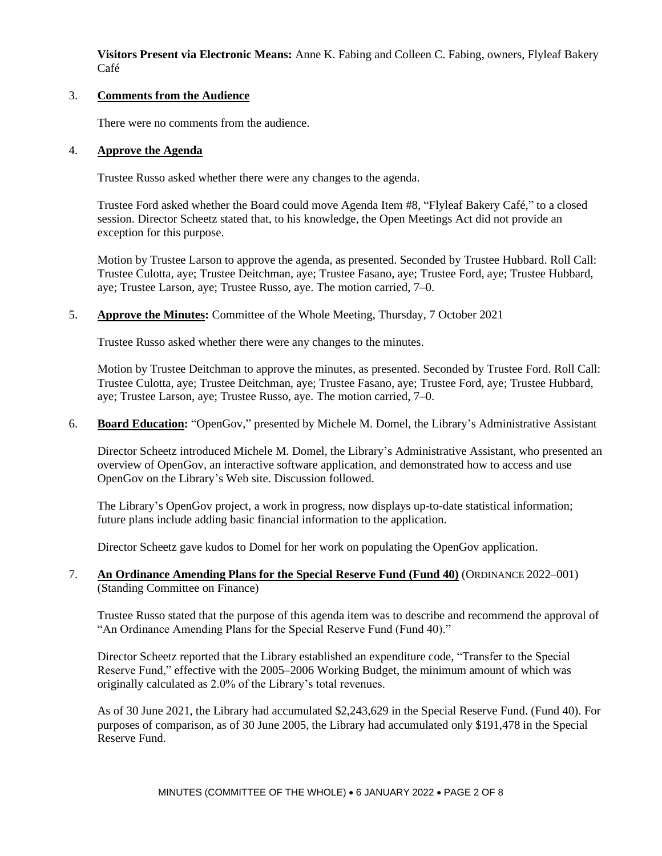**Visitors Present via Electronic Means:** Anne K. Fabing and Colleen C. Fabing, owners, Flyleaf Bakery Café

#### 3. **Comments from the Audience**

There were no comments from the audience.

#### 4. **Approve the Agenda**

Trustee Russo asked whether there were any changes to the agenda.

Trustee Ford asked whether the Board could move Agenda Item #8, "Flyleaf Bakery Café," to a closed session. Director Scheetz stated that, to his knowledge, the Open Meetings Act did not provide an exception for this purpose.

Motion by Trustee Larson to approve the agenda, as presented. Seconded by Trustee Hubbard. Roll Call: Trustee Culotta, aye; Trustee Deitchman, aye; Trustee Fasano, aye; Trustee Ford, aye; Trustee Hubbard, aye; Trustee Larson, aye; Trustee Russo, aye. The motion carried, 7–0.

5. **Approve the Minutes:** Committee of the Whole Meeting, Thursday, 7 October 2021

Trustee Russo asked whether there were any changes to the minutes.

Motion by Trustee Deitchman to approve the minutes, as presented. Seconded by Trustee Ford. Roll Call: Trustee Culotta, aye; Trustee Deitchman, aye; Trustee Fasano, aye; Trustee Ford, aye; Trustee Hubbard, aye; Trustee Larson, aye; Trustee Russo, aye. The motion carried, 7–0.

6. **Board Education:** "OpenGov," presented by Michele M. Domel, the Library's Administrative Assistant

Director Scheetz introduced Michele M. Domel, the Library's Administrative Assistant, who presented an overview of OpenGov, an interactive software application, and demonstrated how to access and use OpenGov on the Library's Web site. Discussion followed.

The Library's OpenGov project, a work in progress, now displays up-to-date statistical information; future plans include adding basic financial information to the application.

Director Scheetz gave kudos to Domel for her work on populating the OpenGov application.

#### 7. **An Ordinance Amending Plans for the Special Reserve Fund (Fund 40)** (ORDINANCE 2022–001) (Standing Committee on Finance)

Trustee Russo stated that the purpose of this agenda item was to describe and recommend the approval of "An Ordinance Amending Plans for the Special Reserve Fund (Fund 40)."

Director Scheetz reported that the Library established an expenditure code, "Transfer to the Special Reserve Fund," effective with the 2005–2006 Working Budget, the minimum amount of which was originally calculated as 2.0% of the Library's total revenues.

As of 30 June 2021, the Library had accumulated \$2,243,629 in the Special Reserve Fund. (Fund 40). For purposes of comparison, as of 30 June 2005, the Library had accumulated only \$191,478 in the Special Reserve Fund.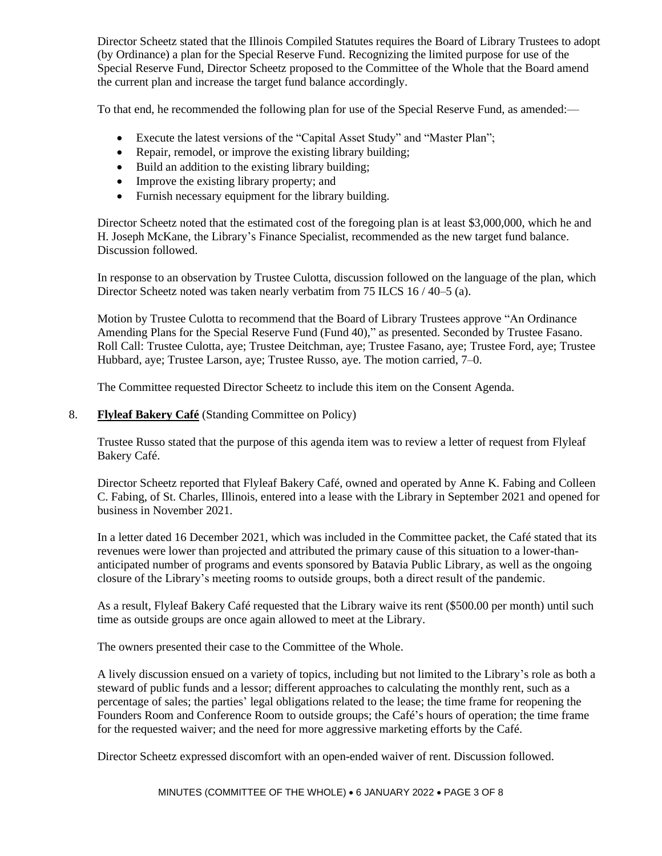Director Scheetz stated that the Illinois Compiled Statutes requires the Board of Library Trustees to adopt (by Ordinance) a plan for the Special Reserve Fund. Recognizing the limited purpose for use of the Special Reserve Fund, Director Scheetz proposed to the Committee of the Whole that the Board amend the current plan and increase the target fund balance accordingly.

To that end, he recommended the following plan for use of the Special Reserve Fund, as amended:—

- Execute the latest versions of the "Capital Asset Study" and "Master Plan";
- Repair, remodel, or improve the existing library building;
- Build an addition to the existing library building;
- Improve the existing library property; and
- Furnish necessary equipment for the library building.

Director Scheetz noted that the estimated cost of the foregoing plan is at least \$3,000,000, which he and H. Joseph McKane, the Library's Finance Specialist, recommended as the new target fund balance. Discussion followed.

In response to an observation by Trustee Culotta, discussion followed on the language of the plan, which Director Scheetz noted was taken nearly verbatim from 75 ILCS 16 / 40–5 (a).

Motion by Trustee Culotta to recommend that the Board of Library Trustees approve "An Ordinance Amending Plans for the Special Reserve Fund (Fund 40)," as presented. Seconded by Trustee Fasano. Roll Call: Trustee Culotta, aye; Trustee Deitchman, aye; Trustee Fasano, aye; Trustee Ford, aye; Trustee Hubbard, aye; Trustee Larson, aye; Trustee Russo, aye. The motion carried, 7–0.

The Committee requested Director Scheetz to include this item on the Consent Agenda.

#### 8. **Flyleaf Bakery Café** (Standing Committee on Policy)

Trustee Russo stated that the purpose of this agenda item was to review a letter of request from Flyleaf Bakery Café.

Director Scheetz reported that Flyleaf Bakery Café, owned and operated by Anne K. Fabing and Colleen C. Fabing, of St. Charles, Illinois, entered into a lease with the Library in September 2021 and opened for business in November 2021.

In a letter dated 16 December 2021, which was included in the Committee packet, the Café stated that its revenues were lower than projected and attributed the primary cause of this situation to a lower-thananticipated number of programs and events sponsored by Batavia Public Library, as well as the ongoing closure of the Library's meeting rooms to outside groups, both a direct result of the pandemic.

As a result, Flyleaf Bakery Café requested that the Library waive its rent (\$500.00 per month) until such time as outside groups are once again allowed to meet at the Library.

The owners presented their case to the Committee of the Whole.

A lively discussion ensued on a variety of topics, including but not limited to the Library's role as both a steward of public funds and a lessor; different approaches to calculating the monthly rent, such as a percentage of sales; the parties' legal obligations related to the lease; the time frame for reopening the Founders Room and Conference Room to outside groups; the Café's hours of operation; the time frame for the requested waiver; and the need for more aggressive marketing efforts by the Café.

Director Scheetz expressed discomfort with an open-ended waiver of rent. Discussion followed.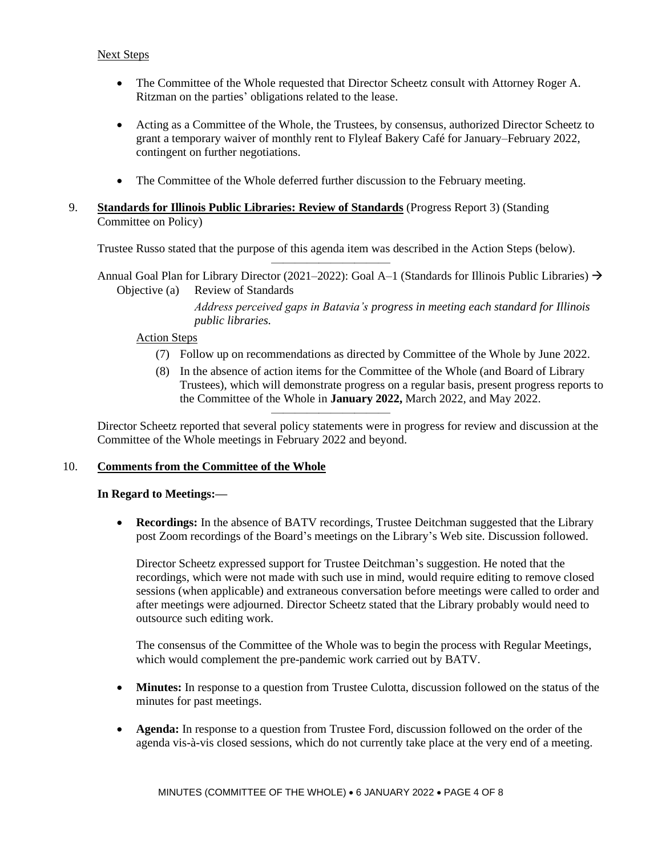### Next Steps

- The Committee of the Whole requested that Director Scheetz consult with Attorney Roger A. Ritzman on the parties' obligations related to the lease.
- Acting as a Committee of the Whole, the Trustees, by consensus, authorized Director Scheetz to grant a temporary waiver of monthly rent to Flyleaf Bakery Café for January–February 2022, contingent on further negotiations.
- The Committee of the Whole deferred further discussion to the February meeting.

### 9. **Standards for Illinois Public Libraries: Review of Standards** (Progress Report 3) (Standing Committee on Policy)

Trustee Russo stated that the purpose of this agenda item was described in the Action Steps (below).

—————————— Annual Goal Plan for Library Director (2021–2022): Goal A–1 (Standards for Illinois Public Libraries)  $\rightarrow$ Objective (a) Review of Standards

> *Address perceived gaps in Batavia's progress in meeting each standard for Illinois public libraries.*

#### Action Steps

- (7) Follow up on recommendations as directed by Committee of the Whole by June 2022.
- (8) In the absence of action items for the Committee of the Whole (and Board of Library Trustees), which will demonstrate progress on a regular basis, present progress reports to the Committee of the Whole in **January 2022,** March 2022, and May 2022.

Director Scheetz reported that several policy statements were in progress for review and discussion at the Committee of the Whole meetings in February 2022 and beyond.

——————————

#### 10. **Comments from the Committee of the Whole**

#### **In Regard to Meetings:—**

• **Recordings:** In the absence of BATV recordings, Trustee Deitchman suggested that the Library post Zoom recordings of the Board's meetings on the Library's Web site. Discussion followed.

Director Scheetz expressed support for Trustee Deitchman's suggestion. He noted that the recordings, which were not made with such use in mind, would require editing to remove closed sessions (when applicable) and extraneous conversation before meetings were called to order and after meetings were adjourned. Director Scheetz stated that the Library probably would need to outsource such editing work.

The consensus of the Committee of the Whole was to begin the process with Regular Meetings, which would complement the pre-pandemic work carried out by BATV.

- **Minutes:** In response to a question from Trustee Culotta, discussion followed on the status of the minutes for past meetings.
- **Agenda:** In response to a question from Trustee Ford, discussion followed on the order of the agenda vis-à-vis closed sessions, which do not currently take place at the very end of a meeting.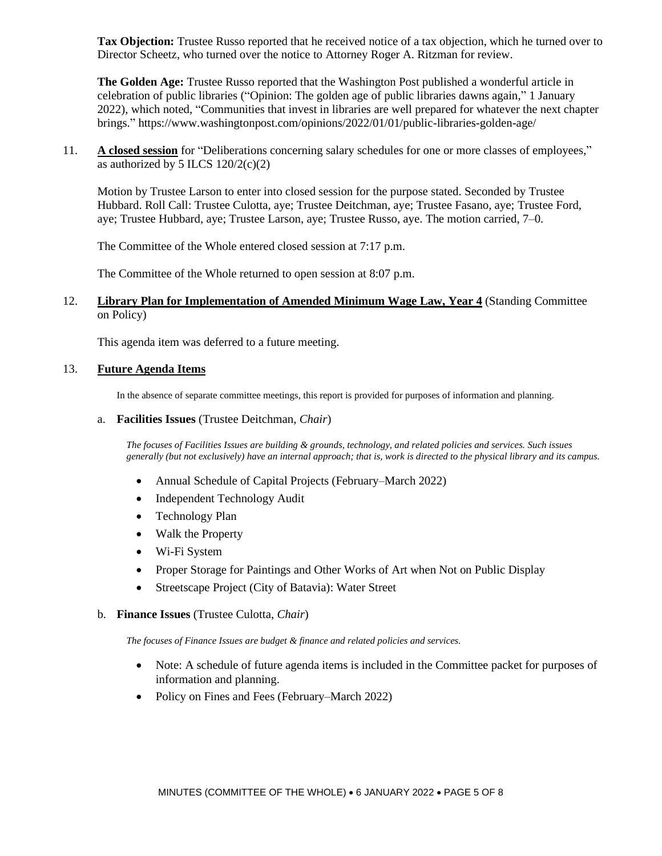**Tax Objection:** Trustee Russo reported that he received notice of a tax objection, which he turned over to Director Scheetz, who turned over the notice to Attorney Roger A. Ritzman for review.

**The Golden Age:** Trustee Russo reported that the Washington Post published a wonderful article in celebration of public libraries ("Opinion: The golden age of public libraries dawns again," 1 January 2022), which noted, "Communities that invest in libraries are well prepared for whatever the next chapter brings." https://www.washingtonpost.com/opinions/2022/01/01/public-libraries-golden-age/

11. **A closed session** for "Deliberations concerning salary schedules for one or more classes of employees," as authorized by 5 ILCS  $120/2(c)(2)$ 

Motion by Trustee Larson to enter into closed session for the purpose stated. Seconded by Trustee Hubbard. Roll Call: Trustee Culotta, aye; Trustee Deitchman, aye; Trustee Fasano, aye; Trustee Ford, aye; Trustee Hubbard, aye; Trustee Larson, aye; Trustee Russo, aye. The motion carried, 7–0.

The Committee of the Whole entered closed session at 7:17 p.m.

The Committee of the Whole returned to open session at 8:07 p.m.

#### 12. **Library Plan for Implementation of Amended Minimum Wage Law, Year 4** (Standing Committee on Policy)

This agenda item was deferred to a future meeting.

#### 13. **Future Agenda Items**

In the absence of separate committee meetings, this report is provided for purposes of information and planning.

#### a. **Facilities Issues** (Trustee Deitchman, *Chair*)

*The focuses of Facilities Issues are building & grounds, technology, and related policies and services. Such issues generally (but not exclusively) have an internal approach; that is, work is directed to the physical library and its campus.*

- Annual Schedule of Capital Projects (February–March 2022)
- Independent Technology Audit
- Technology Plan
- Walk the Property
- Wi-Fi System
- Proper Storage for Paintings and Other Works of Art when Not on Public Display
- Streetscape Project (City of Batavia): Water Street
- b. **Finance Issues** (Trustee Culotta, *Chair*)

*The focuses of Finance Issues are budget & finance and related policies and services.*

- Note: A schedule of future agenda items is included in the Committee packet for purposes of information and planning.
- Policy on Fines and Fees (February–March 2022)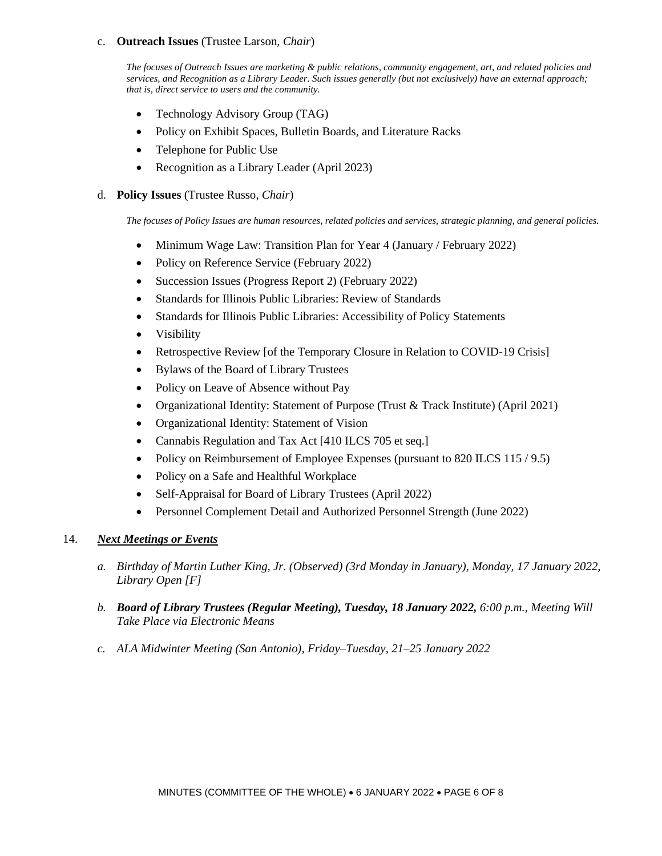#### c. **Outreach Issues** (Trustee Larson, *Chair*)

*The focuses of Outreach Issues are marketing & public relations, community engagement, art, and related policies and services, and Recognition as a Library Leader. Such issues generally (but not exclusively) have an external approach; that is, direct service to users and the community.*

- Technology Advisory Group (TAG)
- Policy on Exhibit Spaces, Bulletin Boards, and Literature Racks
- Telephone for Public Use
- Recognition as a Library Leader (April 2023)

#### d. **Policy Issues** (Trustee Russo, *Chair*)

*The focuses of Policy Issues are human resources, related policies and services, strategic planning, and general policies.*

- Minimum Wage Law: Transition Plan for Year 4 (January / February 2022)
- Policy on Reference Service (February 2022)
- Succession Issues (Progress Report 2) (February 2022)
- Standards for Illinois Public Libraries: Review of Standards
- Standards for Illinois Public Libraries: Accessibility of Policy Statements
- Visibility
- Retrospective Review [of the Temporary Closure in Relation to COVID-19 Crisis]
- Bylaws of the Board of Library Trustees
- Policy on Leave of Absence without Pay
- Organizational Identity: Statement of Purpose (Trust & Track Institute) (April 2021)
- Organizational Identity: Statement of Vision
- Cannabis Regulation and Tax Act [410 ILCS 705 et seq.]
- Policy on Reimbursement of Employee Expenses (pursuant to 820 ILCS 115 / 9.5)
- Policy on a Safe and Healthful Workplace
- Self-Appraisal for Board of Library Trustees (April 2022)
- Personnel Complement Detail and Authorized Personnel Strength (June 2022)

#### 14. *Next Meetings or Events*

- *a. Birthday of Martin Luther King, Jr. (Observed) (3rd Monday in January), Monday, 17 January 2022, Library Open [F]*
- *b. Board of Library Trustees (Regular Meeting), Tuesday, 18 January 2022, 6:00 p.m., Meeting Will Take Place via Electronic Means*
- *c. ALA Midwinter Meeting (San Antonio), Friday–Tuesday, 21–25 January 2022*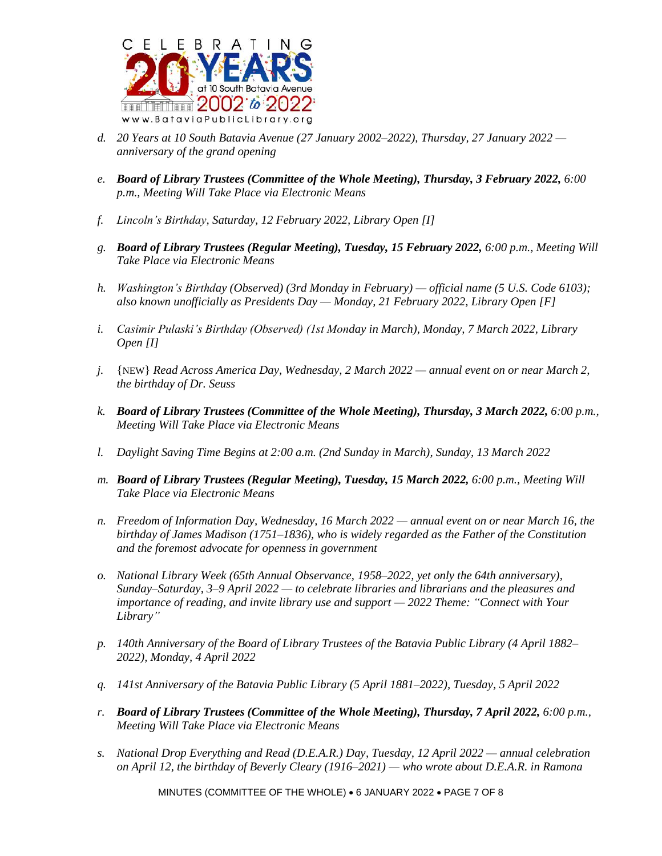

- *d. 20 Years at 10 South Batavia Avenue (27 January 2002–2022), Thursday, 27 January 2022 anniversary of the grand opening*
- *e. Board of Library Trustees (Committee of the Whole Meeting), Thursday, 3 February 2022, 6:00 p.m., Meeting Will Take Place via Electronic Means*
- *f. Lincoln's Birthday, Saturday, 12 February 2022, Library Open [I]*
- *g. Board of Library Trustees (Regular Meeting), Tuesday, 15 February 2022, 6:00 p.m., Meeting Will Take Place via Electronic Means*
- *h. Washington's Birthday (Observed) (3rd Monday in February) — official name (5 U.S. Code 6103); also known unofficially as Presidents Day — Monday, 21 February 2022, Library Open [F]*
- *i. Casimir Pulaski's Birthday (Observed) (1st Monday in March), Monday, 7 March 2022, Library Open [I]*
- *j.* {NEW} *Read Across America Day, Wednesday, 2 March 2022 — annual event on or near March 2, the birthday of Dr. Seuss*
- *k. Board of Library Trustees (Committee of the Whole Meeting), Thursday, 3 March 2022, 6:00 p.m., Meeting Will Take Place via Electronic Means*
- *l. Daylight Saving Time Begins at 2:00 a.m. (2nd Sunday in March), Sunday, 13 March 2022*
- *m. Board of Library Trustees (Regular Meeting), Tuesday, 15 March 2022, 6:00 p.m., Meeting Will Take Place via Electronic Means*
- *n. Freedom of Information Day, Wednesday, 16 March 2022 — annual event on or near March 16, the birthday of James Madison (1751–1836), who is widely regarded as the Father of the Constitution and the foremost advocate for openness in government*
- *o. National Library Week (65th Annual Observance, 1958–2022, yet only the 64th anniversary), Sunday–Saturday, 3–9 April 2022 — to celebrate libraries and librarians and the pleasures and importance of reading, and invite library use and support — 2022 Theme: "Connect with Your Library"*
- *p. 140th Anniversary of the Board of Library Trustees of the Batavia Public Library (4 April 1882– 2022), Monday, 4 April 2022*
- *q. 141st Anniversary of the Batavia Public Library (5 April 1881–2022), Tuesday, 5 April 2022*
- *r. Board of Library Trustees (Committee of the Whole Meeting), Thursday, 7 April 2022, 6:00 p.m., Meeting Will Take Place via Electronic Means*
- *s. National Drop Everything and Read (D.E.A.R.) Day, Tuesday, 12 April 2022 — annual celebration on April 12, the birthday of Beverly Cleary (1916–2021) — who wrote about D.E.A.R. in Ramona*

MINUTES (COMMITTEE OF THE WHOLE) • 6 JANUARY 2022 • PAGE 7 OF 8